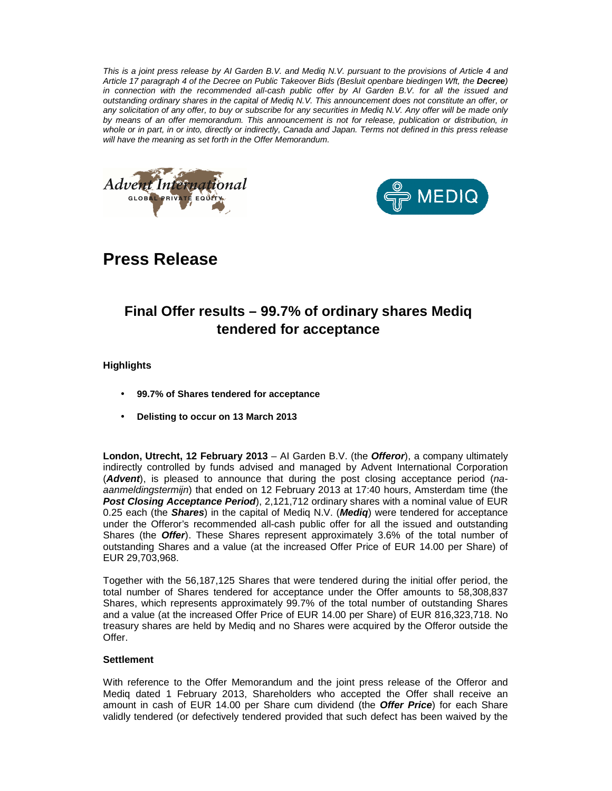This is a joint press release by AI Garden B.V. and Mediq N.V. pursuant to the provisions of Article 4 and Article 17 paragraph 4 of the Decree on Public Takeover Bids (Besluit openbare biedingen Wft, the **Decree**) in connection with the recommended all-cash public offer by AI Garden B.V. for all the issued and outstanding ordinary shares in the capital of Mediq N.V. This announcement does not constitute an offer, or any solicitation of any offer, to buy or subscribe for any securities in Mediq N.V. Any offer will be made only by means of an offer memorandum. This announcement is not for release, publication or distribution, in whole or in part, in or into, directly or indirectly, Canada and Japan. Terms not defined in this press release will have the meaning as set forth in the Offer Memorandum.





# **Press Release**

## **Final Offer results – 99.7% of ordinary shares Mediq tendered for acceptance**

## **Highlights**

- **99.7% of Shares tendered for acceptance**
- **Delisting to occur on 13 March 2013**

**London, Utrecht, 12 February 2013** – AI Garden B.V. (the **Offeror**), a company ultimately indirectly controlled by funds advised and managed by Advent International Corporation (**Advent**), is pleased to announce that during the post closing acceptance period (naaanmeldingstermijn) that ended on 12 February 2013 at 17:40 hours, Amsterdam time (the **Post Closing Acceptance Period**), 2,121,712 ordinary shares with a nominal value of EUR 0.25 each (the **Shares**) in the capital of Mediq N.V. (**Mediq**) were tendered for acceptance under the Offeror's recommended all-cash public offer for all the issued and outstanding Shares (the **Offer**). These Shares represent approximately 3.6% of the total number of outstanding Shares and a value (at the increased Offer Price of EUR 14.00 per Share) of EUR 29,703,968.

Together with the 56,187,125 Shares that were tendered during the initial offer period, the total number of Shares tendered for acceptance under the Offer amounts to 58,308,837 Shares, which represents approximately 99.7% of the total number of outstanding Shares and a value (at the increased Offer Price of EUR 14.00 per Share) of EUR 816,323,718. No treasury shares are held by Mediq and no Shares were acquired by the Offeror outside the Offer.

## **Settlement**

With reference to the Offer Memorandum and the joint press release of the Offeror and Mediq dated 1 February 2013, Shareholders who accepted the Offer shall receive an amount in cash of EUR 14.00 per Share cum dividend (the **Offer Price**) for each Share validly tendered (or defectively tendered provided that such defect has been waived by the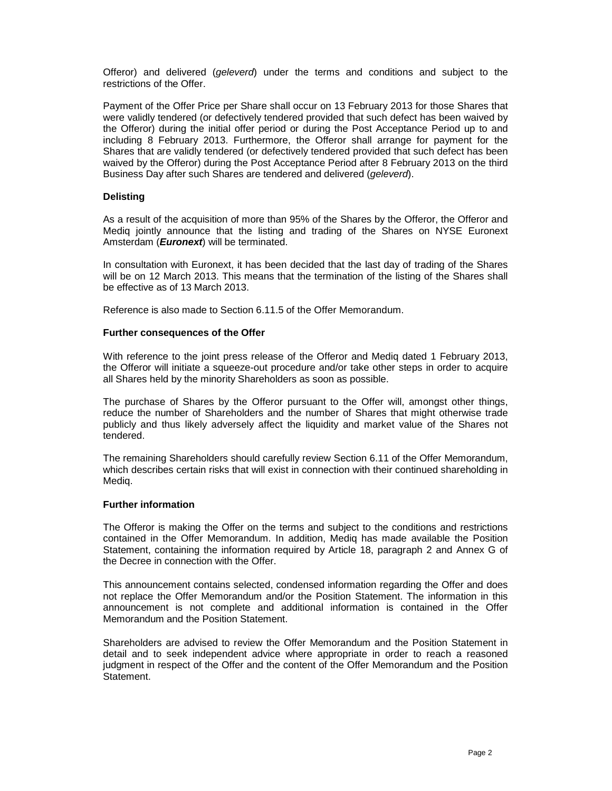Offeror) and delivered (geleverd) under the terms and conditions and subject to the restrictions of the Offer.

Payment of the Offer Price per Share shall occur on 13 February 2013 for those Shares that were validly tendered (or defectively tendered provided that such defect has been waived by the Offeror) during the initial offer period or during the Post Acceptance Period up to and including 8 February 2013. Furthermore, the Offeror shall arrange for payment for the Shares that are validly tendered (or defectively tendered provided that such defect has been waived by the Offeror) during the Post Acceptance Period after 8 February 2013 on the third Business Day after such Shares are tendered and delivered (geleverd).

#### **Delisting**

As a result of the acquisition of more than 95% of the Shares by the Offeror, the Offeror and Mediq jointly announce that the listing and trading of the Shares on NYSE Euronext Amsterdam (**Euronext**) will be terminated.

In consultation with Euronext, it has been decided that the last day of trading of the Shares will be on 12 March 2013. This means that the termination of the listing of the Shares shall be effective as of 13 March 2013.

Reference is also made to Section 6.11.5 of the Offer Memorandum.

#### **Further consequences of the Offer**

With reference to the joint press release of the Offeror and Mediq dated 1 February 2013, the Offeror will initiate a squeeze-out procedure and/or take other steps in order to acquire all Shares held by the minority Shareholders as soon as possible.

The purchase of Shares by the Offeror pursuant to the Offer will, amongst other things, reduce the number of Shareholders and the number of Shares that might otherwise trade publicly and thus likely adversely affect the liquidity and market value of the Shares not tendered.

The remaining Shareholders should carefully review Section 6.11 of the Offer Memorandum, which describes certain risks that will exist in connection with their continued shareholding in Mediq.

#### **Further information**

The Offeror is making the Offer on the terms and subject to the conditions and restrictions contained in the Offer Memorandum. In addition, Mediq has made available the Position Statement, containing the information required by Article 18, paragraph 2 and Annex G of the Decree in connection with the Offer.

This announcement contains selected, condensed information regarding the Offer and does not replace the Offer Memorandum and/or the Position Statement. The information in this announcement is not complete and additional information is contained in the Offer Memorandum and the Position Statement.

Shareholders are advised to review the Offer Memorandum and the Position Statement in detail and to seek independent advice where appropriate in order to reach a reasoned judgment in respect of the Offer and the content of the Offer Memorandum and the Position Statement.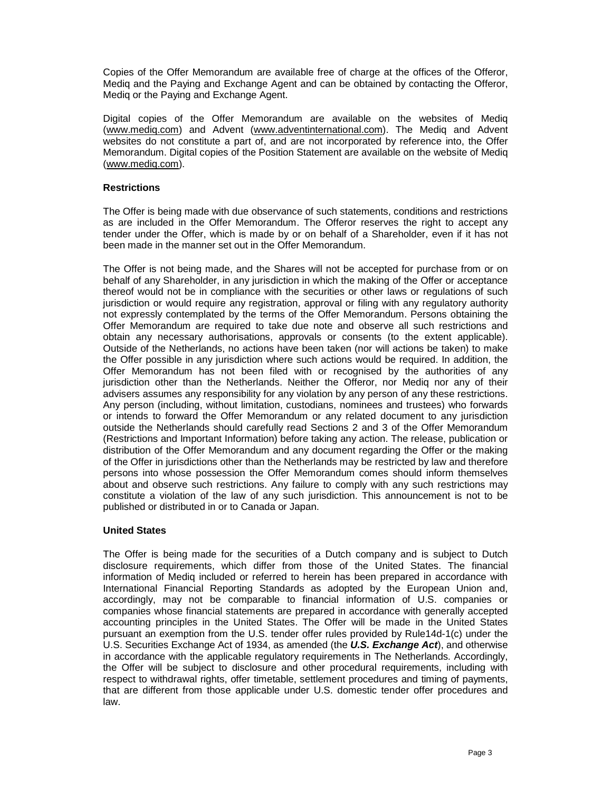Copies of the Offer Memorandum are available free of charge at the offices of the Offeror, Mediq and the Paying and Exchange Agent and can be obtained by contacting the Offeror, Mediq or the Paying and Exchange Agent.

Digital copies of the Offer Memorandum are available on the websites of Mediq (www.mediq.com) and Advent (www.adventinternational.com). The Mediq and Advent websites do not constitute a part of, and are not incorporated by reference into, the Offer Memorandum. Digital copies of the Position Statement are available on the website of Mediq (www.mediq.com).

## **Restrictions**

The Offer is being made with due observance of such statements, conditions and restrictions as are included in the Offer Memorandum. The Offeror reserves the right to accept any tender under the Offer, which is made by or on behalf of a Shareholder, even if it has not been made in the manner set out in the Offer Memorandum.

The Offer is not being made, and the Shares will not be accepted for purchase from or on behalf of any Shareholder, in any jurisdiction in which the making of the Offer or acceptance thereof would not be in compliance with the securities or other laws or regulations of such jurisdiction or would require any registration, approval or filing with any regulatory authority not expressly contemplated by the terms of the Offer Memorandum. Persons obtaining the Offer Memorandum are required to take due note and observe all such restrictions and obtain any necessary authorisations, approvals or consents (to the extent applicable). Outside of the Netherlands, no actions have been taken (nor will actions be taken) to make the Offer possible in any jurisdiction where such actions would be required. In addition, the Offer Memorandum has not been filed with or recognised by the authorities of any jurisdiction other than the Netherlands. Neither the Offeror, nor Mediq nor any of their advisers assumes any responsibility for any violation by any person of any these restrictions. Any person (including, without limitation, custodians, nominees and trustees) who forwards or intends to forward the Offer Memorandum or any related document to any jurisdiction outside the Netherlands should carefully read Sections 2 and 3 of the Offer Memorandum (Restrictions and Important Information) before taking any action. The release, publication or distribution of the Offer Memorandum and any document regarding the Offer or the making of the Offer in jurisdictions other than the Netherlands may be restricted by law and therefore persons into whose possession the Offer Memorandum comes should inform themselves about and observe such restrictions. Any failure to comply with any such restrictions may constitute a violation of the law of any such jurisdiction. This announcement is not to be published or distributed in or to Canada or Japan.

## **United States**

The Offer is being made for the securities of a Dutch company and is subject to Dutch disclosure requirements, which differ from those of the United States. The financial information of Mediq included or referred to herein has been prepared in accordance with International Financial Reporting Standards as adopted by the European Union and, accordingly, may not be comparable to financial information of U.S. companies or companies whose financial statements are prepared in accordance with generally accepted accounting principles in the United States. The Offer will be made in the United States pursuant an exemption from the U.S. tender offer rules provided by Rule14d-1(c) under the U.S. Securities Exchange Act of 1934, as amended (the **U.S. Exchange Act**), and otherwise in accordance with the applicable regulatory requirements in The Netherlands. Accordingly, the Offer will be subject to disclosure and other procedural requirements, including with respect to withdrawal rights, offer timetable, settlement procedures and timing of payments, that are different from those applicable under U.S. domestic tender offer procedures and law.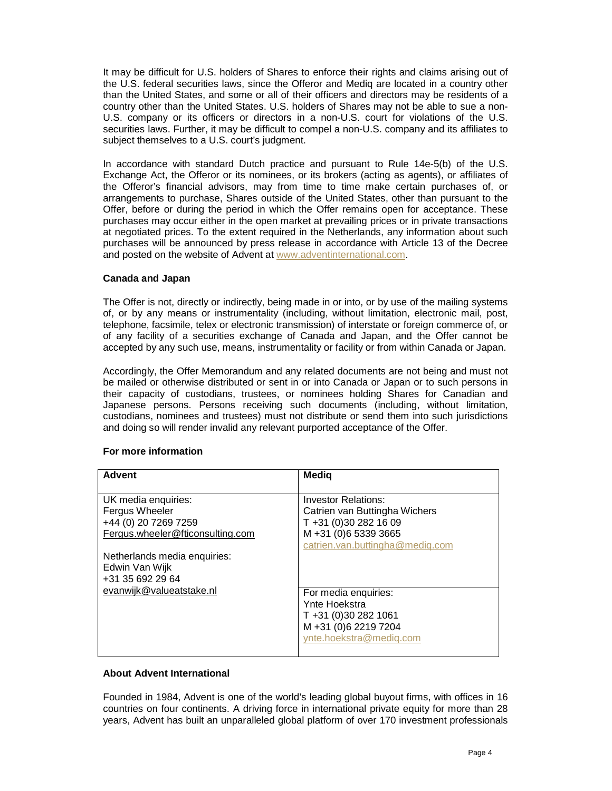It may be difficult for U.S. holders of Shares to enforce their rights and claims arising out of the U.S. federal securities laws, since the Offeror and Mediq are located in a country other than the United States, and some or all of their officers and directors may be residents of a country other than the United States. U.S. holders of Shares may not be able to sue a non-U.S. company or its officers or directors in a non-U.S. court for violations of the U.S. securities laws. Further, it may be difficult to compel a non-U.S. company and its affiliates to subject themselves to a U.S. court's judgment.

In accordance with standard Dutch practice and pursuant to Rule 14e-5(b) of the U.S. Exchange Act, the Offeror or its nominees, or its brokers (acting as agents), or affiliates of the Offeror's financial advisors, may from time to time make certain purchases of, or arrangements to purchase, Shares outside of the United States, other than pursuant to the Offer, before or during the period in which the Offer remains open for acceptance. These purchases may occur either in the open market at prevailing prices or in private transactions at negotiated prices. To the extent required in the Netherlands, any information about such purchases will be announced by press release in accordance with Article 13 of the Decree and posted on the website of Advent at www.adventinternational.com.

## **Canada and Japan**

The Offer is not, directly or indirectly, being made in or into, or by use of the mailing systems of, or by any means or instrumentality (including, without limitation, electronic mail, post, telephone, facsimile, telex or electronic transmission) of interstate or foreign commerce of, or of any facility of a securities exchange of Canada and Japan, and the Offer cannot be accepted by any such use, means, instrumentality or facility or from within Canada or Japan.

Accordingly, the Offer Memorandum and any related documents are not being and must not be mailed or otherwise distributed or sent in or into Canada or Japan or to such persons in their capacity of custodians, trustees, or nominees holding Shares for Canadian and Japanese persons. Persons receiving such documents (including, without limitation, custodians, nominees and trustees) must not distribute or send them into such jurisdictions and doing so will render invalid any relevant purported acceptance of the Offer.

## **For more information**

| <b>Advent</b>                    | <b>Medig</b>                    |
|----------------------------------|---------------------------------|
|                                  |                                 |
| UK media enquiries:              | <b>Investor Relations:</b>      |
| Fergus Wheeler                   | Catrien van Buttingha Wichers   |
| +44 (0) 20 7269 7259             | T +31 (0)30 282 16 09           |
| Fergus.wheeler@fticonsulting.com | M +31 (0)6 5339 3665            |
|                                  | catrien.van.buttingha@mediq.com |
| Netherlands media enquiries:     |                                 |
| Edwin Van Wijk                   |                                 |
| +31 35 692 29 64                 |                                 |
| evanwijk@valueatstake.nl         | For media enquiries:            |
|                                  | Ynte Hoekstra                   |
|                                  | T +31 (0)30 282 1061            |
|                                  | M +31 (0)6 2219 7204            |
|                                  | ynte.hoekstra@mediq.com         |
|                                  |                                 |

## **About Advent International**

Founded in 1984, Advent is one of the world's leading global buyout firms, with offices in 16 countries on four continents. A driving force in international private equity for more than 28 years, Advent has built an unparalleled global platform of over 170 investment professionals